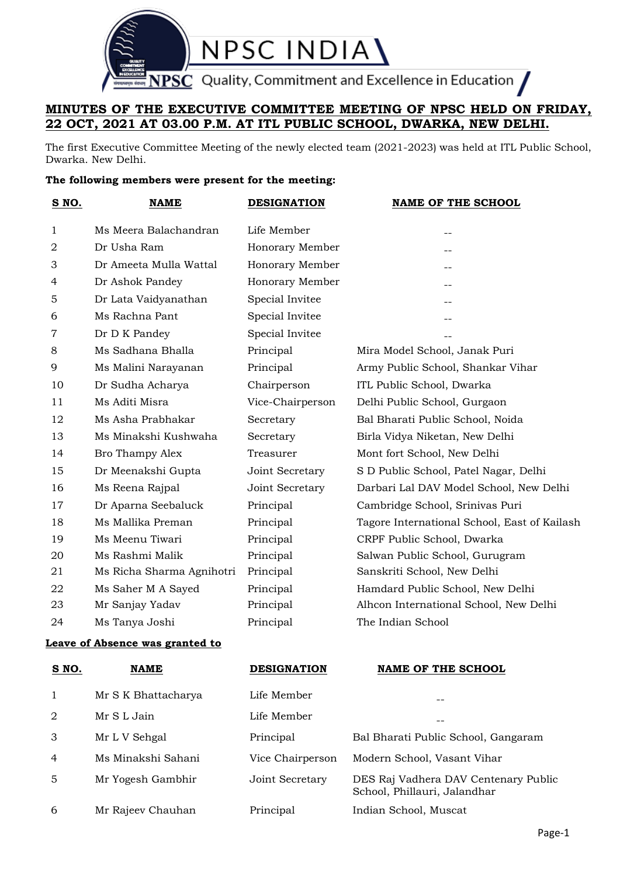

# **MINUTES OF THE EXECUTIVE COMMITTEE MEETING OF NPSC HELD ON FRIDAY, 22 OCT, 2021 AT 03.00 P.M. AT ITL PUBLIC SCHOOL, DWARKA, NEW DELHI.**

The first Executive Committee Meeting of the newly elected team (2021-2023) was held at ITL Public School, Dwarka. New Delhi.

#### **The following members were present for the meeting:**

| <b>NAME</b>               | <b>DESIGNATION</b> | <b>NAME OF THE SCHOOL</b>                    |
|---------------------------|--------------------|----------------------------------------------|
| Ms Meera Balachandran     | Life Member        | $\qquad \qquad -$                            |
| Dr Usha Ram               | Honorary Member    | $-$                                          |
| Dr Ameeta Mulla Wattal    | Honorary Member    | $-$                                          |
| Dr Ashok Pandey           | Honorary Member    |                                              |
| Dr Lata Vaidyanathan      | Special Invitee    | $-$                                          |
| Ms Rachna Pant            | Special Invitee    |                                              |
| Dr D K Pandey             | Special Invitee    |                                              |
| Ms Sadhana Bhalla         | Principal          | Mira Model School, Janak Puri                |
| Ms Malini Narayanan       | Principal          | Army Public School, Shankar Vihar            |
| Dr Sudha Acharya          | Chairperson        | ITL Public School, Dwarka                    |
| Ms Aditi Misra            | Vice-Chairperson   | Delhi Public School, Gurgaon                 |
| Ms Asha Prabhakar         | Secretary          | Bal Bharati Public School, Noida             |
| Ms Minakshi Kushwaha      | Secretary          | Birla Vidya Niketan, New Delhi               |
| Bro Thampy Alex           | Treasurer          | Mont fort School, New Delhi                  |
| Dr Meenakshi Gupta        | Joint Secretary    | S D Public School, Patel Nagar, Delhi        |
| Ms Reena Rajpal           | Joint Secretary    | Darbari Lal DAV Model School, New Delhi      |
| Dr Aparna Seebaluck       | Principal          | Cambridge School, Srinivas Puri              |
| Ms Mallika Preman         | Principal          | Tagore International School, East of Kailash |
| Ms Meenu Tiwari           | Principal          | CRPF Public School, Dwarka                   |
| Ms Rashmi Malik           | Principal          | Salwan Public School, Gurugram               |
| Ms Richa Sharma Agnihotri | Principal          | Sanskriti School, New Delhi                  |
| Ms Saher M A Sayed        | Principal          | Hamdard Public School, New Delhi             |
| Mr Sanjay Yadav           | Principal          | Alhcon International School, New Delhi       |
| Ms Tanya Joshi            | Principal          | The Indian School                            |
|                           |                    |                                              |

## **Leave of Absence was granted to**

| S NO.          | <b>NAME</b>         | <b>DESIGNATION</b> | <b>NAME OF THE SCHOOL</b>                                            |
|----------------|---------------------|--------------------|----------------------------------------------------------------------|
| 1              | Mr S K Bhattacharya | Life Member        |                                                                      |
| 2              | Mr S L Jain         | Life Member        |                                                                      |
| 3              | Mr L V Sehgal       | Principal          | Bal Bharati Public School, Gangaram                                  |
| $\overline{4}$ | Ms Minakshi Sahani  | Vice Chairperson   | Modern School, Vasant Vihar                                          |
| 5              | Mr Yogesh Gambhir   | Joint Secretary    | DES Raj Vadhera DAV Centenary Public<br>School, Phillauri, Jalandhar |
| 6              | Mr Rajeev Chauhan   | Principal          | Indian School, Muscat                                                |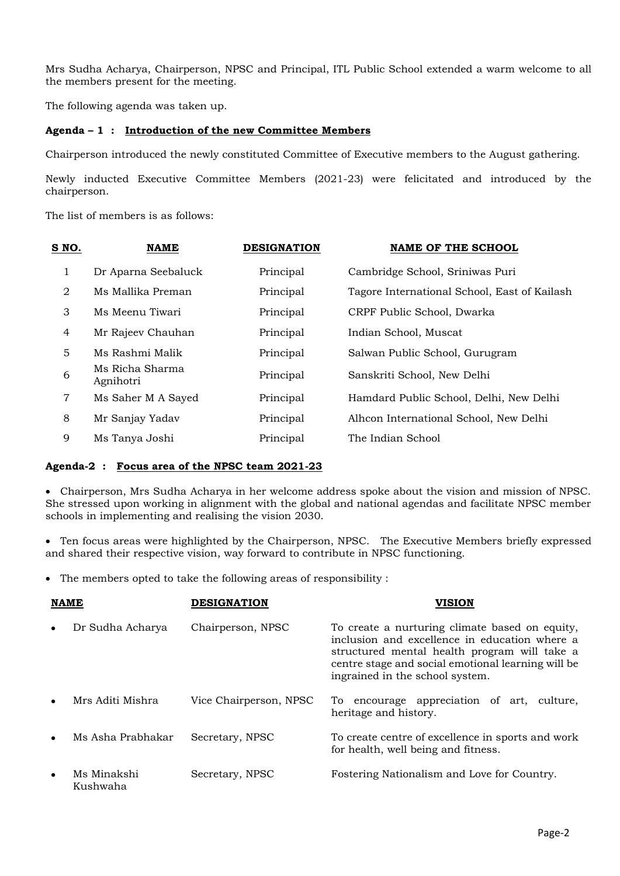Mrs Sudha Acharya, Chairperson, NPSC and Principal, ITL Public School extended a warm welcome to all the members present for the meeting.

The following agenda was taken up.

### **Agenda – 1 : Introduction of the new Committee Members**

Chairperson introduced the newly constituted Committee of Executive members to the August gathering.

Newly inducted Executive Committee Members (2021-23) were felicitated and introduced by the chairperson.

The list of members is as follows:

| S NO.          | <b>NAME</b>                  | <b>DESIGNATION</b> | <b>NAME OF THE SCHOOL</b>                    |
|----------------|------------------------------|--------------------|----------------------------------------------|
| 1              | Dr Aparna Seebaluck          | Principal          | Cambridge School, Sriniwas Puri              |
| 2              | Ms Mallika Preman            | Principal          | Tagore International School, East of Kailash |
| 3              | Ms Meenu Tiwari              | Principal          | CRPF Public School, Dwarka                   |
| 4              | Mr Rajeev Chauhan            | Principal          | Indian School, Muscat                        |
| 5              | Ms Rashmi Malik              | Principal          | Salwan Public School, Gurugram               |
| 6              | Ms Richa Sharma<br>Agnihotri | Principal          | Sanskriti School, New Delhi                  |
| $\overline{7}$ | Ms Saher M A Sayed           | Principal          | Hamdard Public School, Delhi, New Delhi      |
| 8              | Mr Sanjay Yadav              | Principal          | Alheon International School, New Delhi       |
| 9              | Ms Tanya Joshi               | Principal          | The Indian School                            |

### **Agenda-2 : Focus area of the NPSC team 2021-23**

 Chairperson, Mrs Sudha Acharya in her welcome address spoke about the vision and mission of NPSC. She stressed upon working in alignment with the global and national agendas and facilitate NPSC member schools in implementing and realising the vision 2030.

 Ten focus areas were highlighted by the Chairperson, NPSC. The Executive Members briefly expressed and shared their respective vision, way forward to contribute in NPSC functioning.

The members opted to take the following areas of responsibility :

| <b>NAME</b>             | <b>DESIGNATION</b>     | VISION                                                                                                                                                                                                                                   |
|-------------------------|------------------------|------------------------------------------------------------------------------------------------------------------------------------------------------------------------------------------------------------------------------------------|
| Dr Sudha Acharya        | Chairperson, NPSC      | To create a nurturing climate based on equity,<br>inclusion and excellence in education where a<br>structured mental health program will take a<br>centre stage and social emotional learning will be<br>ingrained in the school system. |
| Mrs Aditi Mishra        | Vice Chairperson, NPSC | encourage appreciation of art,<br>culture.<br>To<br>heritage and history.                                                                                                                                                                |
| Ms Asha Prabhakar       | Secretary, NPSC        | To create centre of excellence in sports and work<br>for health, well being and fitness.                                                                                                                                                 |
| Ms Minakshi<br>Kushwaha | Secretary, NPSC        | Fostering Nationalism and Love for Country.                                                                                                                                                                                              |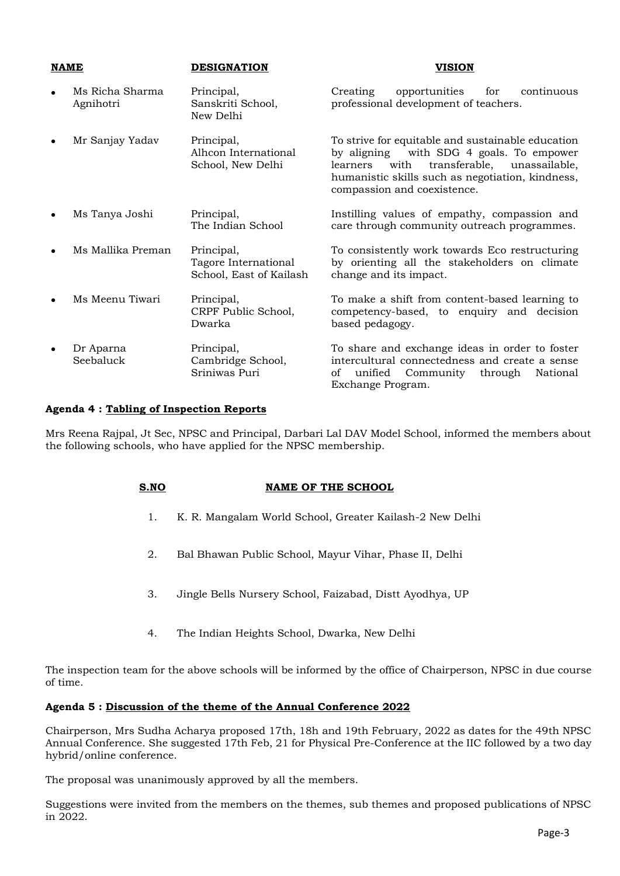|           | <b>NAME</b>                  | <b>DESIGNATION</b>                                            | VISION                                                                                                                                                                                                                                 |
|-----------|------------------------------|---------------------------------------------------------------|----------------------------------------------------------------------------------------------------------------------------------------------------------------------------------------------------------------------------------------|
|           | Ms Richa Sharma<br>Agnihotri | Principal,<br>Sanskriti School,<br>New Delhi                  | Creating<br>for<br>opportunities<br>continuous<br>professional development of teachers.                                                                                                                                                |
| $\bullet$ | Mr Sanjay Yadav              | Principal,<br>Alhcon International<br>School, New Delhi       | To strive for equitable and sustainable education<br>with SDG 4 goals. To empower<br>by aligning<br>with<br>transferable, unassailable,<br>learners<br>humanistic skills such as negotiation, kindness,<br>compassion and coexistence. |
| $\bullet$ | Ms Tanya Joshi               | Principal,<br>The Indian School                               | Instilling values of empathy, compassion and<br>care through community outreach programmes.                                                                                                                                            |
|           | Ms Mallika Preman            | Principal,<br>Tagore International<br>School, East of Kailash | To consistently work towards Eco restructuring<br>by orienting all the stakeholders on climate<br>change and its impact.                                                                                                               |
|           | Ms Meenu Tiwari              | Principal,<br>CRPF Public School,<br>Dwarka                   | To make a shift from content-based learning to<br>competency-based, to enquiry and decision<br>based pedagogy.                                                                                                                         |
| $\bullet$ | Dr Aparna<br>Seebaluck       | Principal,<br>Cambridge School,<br>Sriniwas Puri              | To share and exchange ideas in order to foster<br>intercultural connectedness and create a sense<br>unified Community<br>through<br>National<br>of<br>Exchange Program.                                                                |

## **Agenda 4 : Tabling of Inspection Reports**

Mrs Reena Rajpal, Jt Sec, NPSC and Principal, Darbari Lal DAV Model School, informed the members about the following schools, who have applied for the NPSC membership.

### **S.NO NAME OF THE SCHOOL**

- 1. K. R. Mangalam World School, Greater Kailash-2 New Delhi
- 2. Bal Bhawan Public School, Mayur Vihar, Phase II, Delhi
- 3. Jingle Bells Nursery School, Faizabad, Distt Ayodhya, UP
- 4. The Indian Heights School, Dwarka, New Delhi

The inspection team for the above schools will be informed by the office of Chairperson, NPSC in due course of time.

### **Agenda 5 : Discussion of the theme of the Annual Conference 2022**

Chairperson, Mrs Sudha Acharya proposed 17th, 18h and 19th February, 2022 as dates for the 49th NPSC Annual Conference. She suggested 17th Feb, 21 for Physical Pre-Conference at the IIC followed by a two day hybrid/online conference.

The proposal was unanimously approved by all the members.

Suggestions were invited from the members on the themes, sub themes and proposed publications of NPSC in 2022.